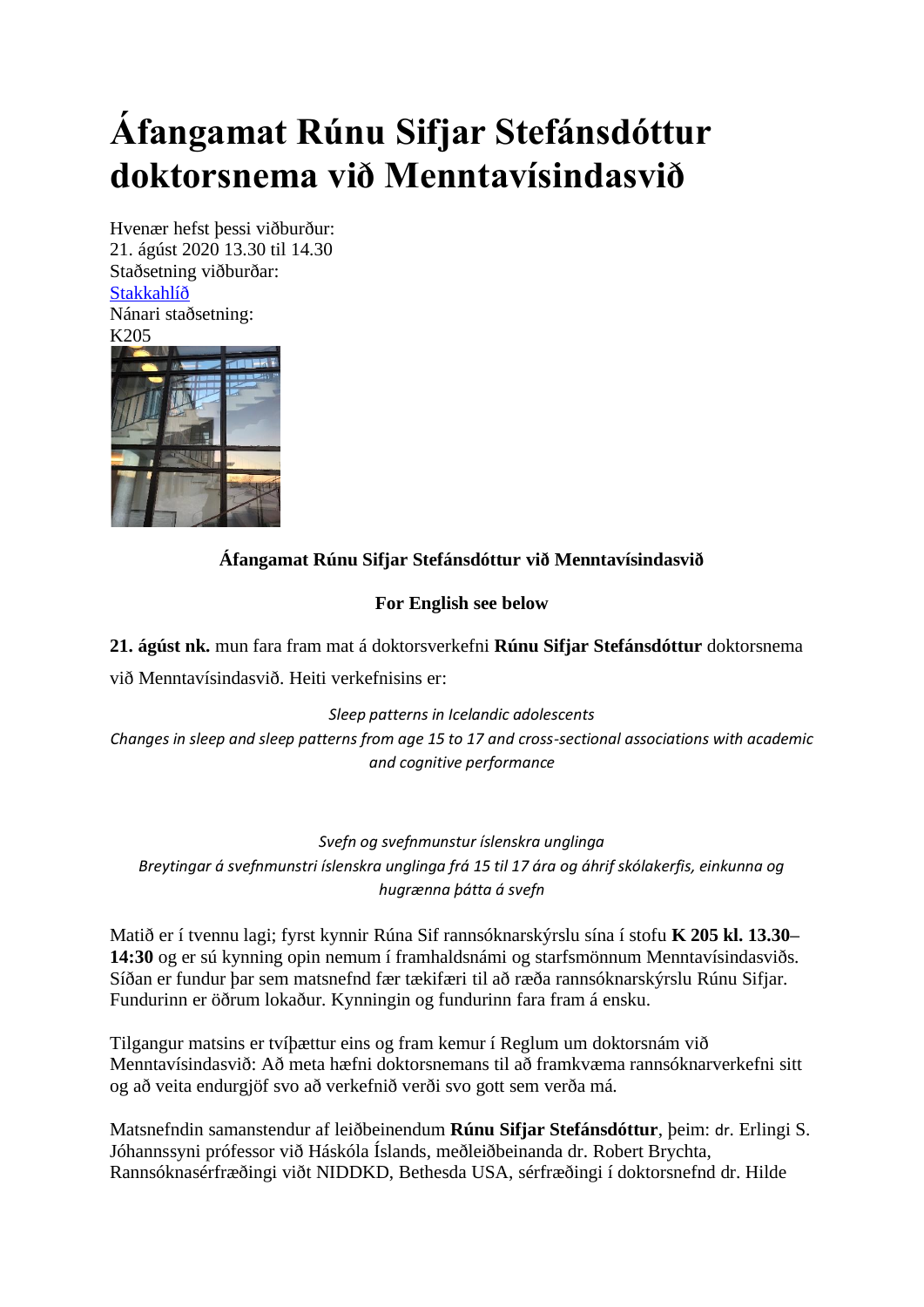# **Áfangamat Rúnu Sifjar Stefánsdóttur doktorsnema við Menntavísindasvið**

Hvenær hefst þessi viðburður: 21. ágúst 2020 13.30 til 14.30 Staðsetning viðburðar: **[Stakkahlíð](http://wayback.vefsafn.is/wayback/20121017063259/http:/www.hi.is/stakkahlid)** Nánari staðsetning: K205



## **Áfangamat Rúnu Sifjar Stefánsdóttur við Menntavísindasvið**

### **For English see below**

**21. ágúst nk.** mun fara fram mat á doktorsverkefni **Rúnu Sifjar Stefánsdóttur** doktorsnema við Menntavísindasvið. Heiti verkefnisins er:

*Sleep patterns in Icelandic adolescents Changes in sleep and sleep patterns from age 15 to 17 and cross-sectional associations with academic and cognitive performance*

*Svefn og svefnmunstur íslenskra unglinga Breytingar á svefnmunstri íslenskra unglinga frá 15 til 17 ára og áhrif skólakerfis, einkunna og hugrænna þátta á svefn*

Matið er í tvennu lagi; fyrst kynnir Rúna Sif rannsóknarskýrslu sína í stofu **K 205 kl. 13.30– 14:30** og er sú kynning opin nemum í framhaldsnámi og starfsmönnum Menntavísindasviðs. Síðan er fundur þar sem matsnefnd fær tækifæri til að ræða rannsóknarskýrslu Rúnu Sifjar. Fundurinn er öðrum lokaður. Kynningin og fundurinn fara fram á ensku.

Tilgangur matsins er tvíþættur eins og fram kemur í Reglum um doktorsnám við Menntavísindasvið: Að meta hæfni doktorsnemans til að framkvæma rannsóknarverkefni sitt og að veita endurgjöf svo að verkefnið verði svo gott sem verða má.

Matsnefndin samanstendur af leiðbeinendum **Rúnu Sifjar Stefánsdóttur**, þeim: dr. Erlingi S. Jóhannssyni prófessor við Háskóla Íslands, meðleiðbeinanda dr. Robert Brychta, Rannsóknasérfræðingi viðt NIDDKD, Bethesda USA, sérfræðingi í doktorsnefnd dr. Hilde